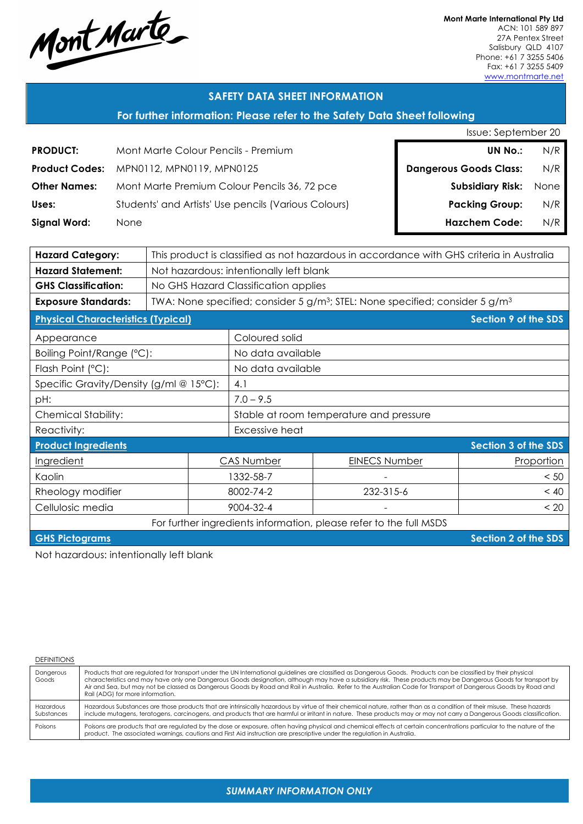Mont Marte

**Mont Marte International Pty Ltd** ACN: 101 589 897 27A Pentex Street Salisbury QLD 4107 Phone: +61 7 3255 5406 Fax: +61 7 3255 5409 www.montmarte.net

## **SAFETY DATA SHEET INFORMATION**

## **For further information: Please refer to the Safety Data Sheet following**

|  | Issue: September 20 |  |
|--|---------------------|--|
|  |                     |  |

| <b>PRODUCT:</b>     | Mont Marte Colour Pencils - Premium                  | <b>UN No.:</b>                | N/R  |
|---------------------|------------------------------------------------------|-------------------------------|------|
|                     | Product Codes: MPN0112, MPN0119, MPN0125             | <b>Dangerous Goods Class:</b> | N/R  |
| <b>Other Names:</b> | Mont Marte Premium Colour Pencils 36, 72 pce         | <b>Subsidiary Risk:</b>       | None |
| Uses:               | Students' and Artists' Use pencils (Various Colours) | <b>Packing Group:</b>         | N/R  |
| Signal Word:        | <b>None</b>                                          | <b>Hazchem Code:</b>          | N/R  |

| <b>Hazard Category:</b>                                            | This product is classified as not hazardous in accordance with GHS criteria in Australia |                                                                                                      |                      |                             |  |
|--------------------------------------------------------------------|------------------------------------------------------------------------------------------|------------------------------------------------------------------------------------------------------|----------------------|-----------------------------|--|
| <b>Hazard Statement:</b>                                           | Not hazardous: intentionally left blank                                                  |                                                                                                      |                      |                             |  |
| <b>GHS Classification:</b>                                         | No GHS Hazard Classification applies                                                     |                                                                                                      |                      |                             |  |
| <b>Exposure Standards:</b>                                         |                                                                                          | TWA: None specified; consider 5 g/m <sup>3</sup> ; STEL: None specified; consider 5 g/m <sup>3</sup> |                      |                             |  |
| <b>Physical Characteristics (Typical)</b>                          |                                                                                          |                                                                                                      |                      | <b>Section 9 of the SDS</b> |  |
| Appearance                                                         |                                                                                          | Coloured solid                                                                                       |                      |                             |  |
| Boiling Point/Range (°C):                                          |                                                                                          | No data available                                                                                    |                      |                             |  |
| Flash Point (°C):                                                  |                                                                                          | No data available                                                                                    |                      |                             |  |
| Specific Gravity/Density (g/ml @ 15°C):                            |                                                                                          | 4.1                                                                                                  |                      |                             |  |
| pH:                                                                |                                                                                          | $7.0 - 9.5$                                                                                          |                      |                             |  |
| <b>Chemical Stability:</b>                                         |                                                                                          | Stable at room temperature and pressure                                                              |                      |                             |  |
| Reactivity:                                                        |                                                                                          | Excessive heat                                                                                       |                      |                             |  |
| <b>Product Ingredients</b>                                         | Section 3 of the SDS                                                                     |                                                                                                      |                      |                             |  |
| Ingredient                                                         |                                                                                          | <b>CAS Number</b>                                                                                    | <b>EINECS Number</b> | Proportion                  |  |
| Kaolin                                                             |                                                                                          | 1332-58-7                                                                                            |                      | < 50                        |  |
| Rheology modifier                                                  |                                                                                          | 8002-74-2                                                                                            | 232-315-6            | < 40                        |  |
| Cellulosic media                                                   |                                                                                          | 9004-32-4                                                                                            |                      | < 20                        |  |
| For further ingredients information, please refer to the full MSDS |                                                                                          |                                                                                                      |                      |                             |  |
| <b>GHS Pictograms</b>                                              |                                                                                          |                                                                                                      |                      | Section 2 of the SDS        |  |

Not hazardous: intentionally left blank

| <b>DEFINITIONS</b>      |                                                                                                                                                                                                                                                                                                                                                                                                                                                                                                                                          |
|-------------------------|------------------------------------------------------------------------------------------------------------------------------------------------------------------------------------------------------------------------------------------------------------------------------------------------------------------------------------------------------------------------------------------------------------------------------------------------------------------------------------------------------------------------------------------|
| Dangerous<br>Goods      | Products that are regulated for transport under the UN International guidelines are classified as Dangerous Goods. Products can be classified by their physical<br>characteristics and may have only one Dangerous Goods designation, although may have a subsidiary risk. These products may be Dangerous Goods for transport by<br>Air and Sea, but may not be classed as Dangerous Goods by Road and Rail in Australia. Refer to the Australian Code for Transport of Dangerous Goods by Road and<br>Rail (ADG) for more information. |
| Hazardous<br>Substances | Hazardous Substances are those products that are intrinsically hazardous by virtue of their chemical nature, rather than as a condition of their misuse. These hazards<br>include mutagens, teratogens, carcinogens, and products that are harmful or irritant in nature. These products may or may not carry a Dangerous Goods classification.                                                                                                                                                                                          |
| Poisons                 | Poisons are products that are regulated by the dose or exposure, often having physical and chemical effects at certain concentrations particular to the nature of the<br>product. The associated warnings, cautions and First Aid instruction are prescriptive under the regulation in Australia.                                                                                                                                                                                                                                        |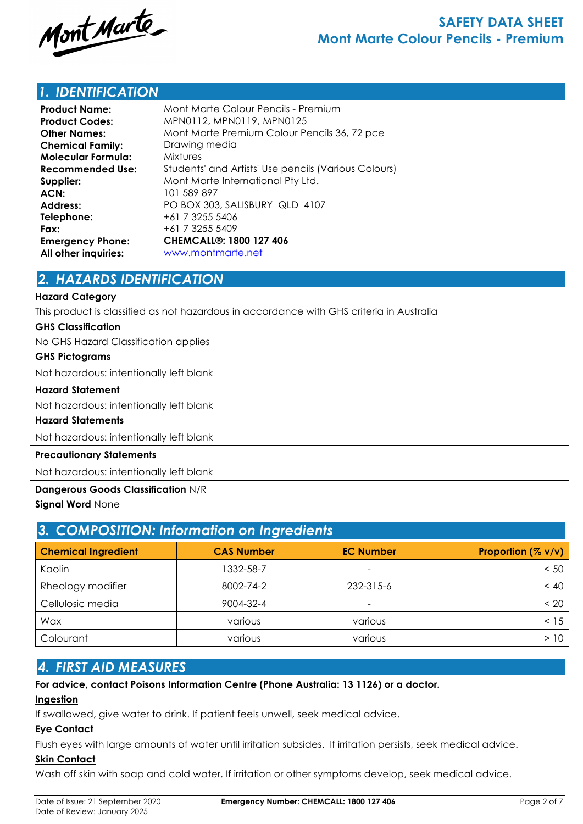

## *1. IDENTIFICATION*

| <b>Product Name:</b>      | Mont Marte Colour Pencils - Premium                  |
|---------------------------|------------------------------------------------------|
| <b>Product Codes:</b>     | MPN0112, MPN0119, MPN0125                            |
| <b>Other Names:</b>       | Mont Marte Premium Colour Pencils 36, 72 pce         |
| <b>Chemical Family:</b>   | Drawing media                                        |
| <b>Molecular Formula:</b> | <b>Mixtures</b>                                      |
| Recommended Use:          | Students' and Artists' Use pencils (Various Colours) |
| Supplier:                 | Mont Marte International Pty Ltd.                    |
| ACN:                      | 101 589 897                                          |
| Address:                  | PO BOX 303, SALISBURY QLD 4107                       |
| Telephone:                | +61 7 3255 5406                                      |
| Fax:                      | +61 7 3255 5409                                      |
| <b>Emergency Phone:</b>   | <b>CHEMCALL<sup>®</sup>: 1800 127 406</b>            |
| All other inquiries:      | www.montmarte.net                                    |

## *2. HAZARDS IDENTIFICATION*

#### **Hazard Category**

This product is classified as not hazardous in accordance with GHS criteria in Australia

#### **GHS Classification**

No GHS Hazard Classification applies

#### **GHS Pictograms**

Not hazardous: intentionally left blank

#### **Hazard Statement**

Not hazardous: intentionally left blank

#### **Hazard Statements**

Not hazardous: intentionally left blank

### **Precautionary Statements**

Not hazardous: intentionally left blank

#### **Dangerous Goods Classification** N/R

**Signal Word** None

| 3. COMPOSITION: Information on Ingredients |                   |                  |                    |  |  |
|--------------------------------------------|-------------------|------------------|--------------------|--|--|
| <b>Chemical Ingredient</b>                 | <b>CAS Number</b> | <b>EC Number</b> | Proportion (% v/v) |  |  |
| Kaolin                                     | 1332-58-7         |                  | < 50               |  |  |
| Rheology modifier                          | 8002-74-2         | 232-315-6        | < 40               |  |  |
| Cellulosic media                           | 9004-32-4         | -                | < 20               |  |  |
| Wax                                        | various           | various          | < 15               |  |  |
| Colourant                                  | various           | various          | >10                |  |  |

## *4. FIRST AID MEASURES*

### **For advice, contact Poisons Information Centre (Phone Australia: 13 1126) or a doctor.**

#### **Ingestion**

If swallowed, give water to drink. If patient feels unwell, seek medical advice.

#### **Eye Contact**

Flush eyes with large amounts of water until irritation subsides. If irritation persists, seek medical advice.

### **Skin Contact**

Wash off skin with soap and cold water. If irritation or other symptoms develop, seek medical advice.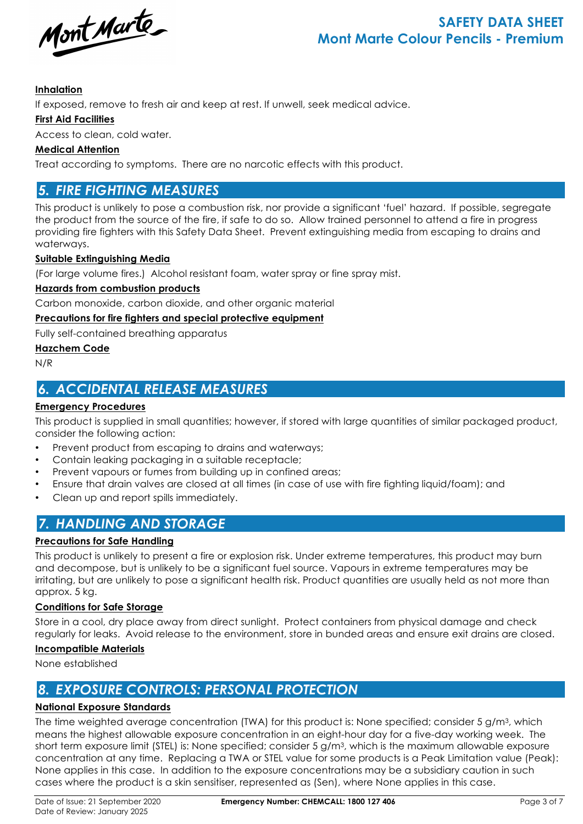Mont Marte

### **Inhalation**

If exposed, remove to fresh air and keep at rest. If unwell, seek medical advice.

#### **First Aid Facilities**

Access to clean, cold water.

### **Medical Attention**

Treat according to symptoms. There are no narcotic effects with this product.

## *5. FIRE FIGHTING MEASURES*

This product is unlikely to pose a combustion risk, nor provide a significant 'fuel' hazard. If possible, segregate the product from the source of the fire, if safe to do so. Allow trained personnel to attend a fire in progress providing fire fighters with this Safety Data Sheet. Prevent extinguishing media from escaping to drains and waterways.

#### **Suitable Extinguishing Media**

(For large volume fires.) Alcohol resistant foam, water spray or fine spray mist.

#### **Hazards from combustion products**

Carbon monoxide, carbon dioxide, and other organic material

#### **Precautions for fire fighters and special protective equipment**

Fully self-contained breathing apparatus

#### **Hazchem Code**

N/R

## *6. ACCIDENTAL RELEASE MEASURES*

## **Emergency Procedures**

This product is supplied in small quantities; however, if stored with large quantities of similar packaged product, consider the following action:

- Prevent product from escaping to drains and waterways;
- Contain leaking packaging in a suitable receptacle;
- Prevent vapours or fumes from building up in confined areas;
- Ensure that drain valves are closed at all times (in case of use with fire fighting liquid/foam); and
- Clean up and report spills immediately.

# *7. HANDLING AND STORAGE*

### **Precautions for Safe Handling**

This product is unlikely to present a fire or explosion risk. Under extreme temperatures, this product may burn and decompose, but is unlikely to be a significant fuel source. Vapours in extreme temperatures may be irritating, but are unlikely to pose a significant health risk. Product quantities are usually held as not more than approx. 5 kg.

### **Conditions for Safe Storage**

Store in a cool, dry place away from direct sunlight. Protect containers from physical damage and check regularly for leaks. Avoid release to the environment, store in bunded areas and ensure exit drains are closed.

### **Incompatible Materials**

None established

# *8. EXPOSURE CONTROLS: PERSONAL PROTECTION*

### **National Exposure Standards**

The time weighted average concentration (TWA) for this product is: None specified; consider 5 g/m<sup>3</sup>, which means the highest allowable exposure concentration in an eight-hour day for a five-day working week. The short term exposure limit (STEL) is: None specified; consider 5 g/m3, which is the maximum allowable exposure concentration at any time. Replacing a TWA or STEL value for some products is a Peak Limitation value (Peak): None applies in this case. In addition to the exposure concentrations may be a subsidiary caution in such cases where the product is a skin sensitiser, represented as (Sen), where None applies in this case.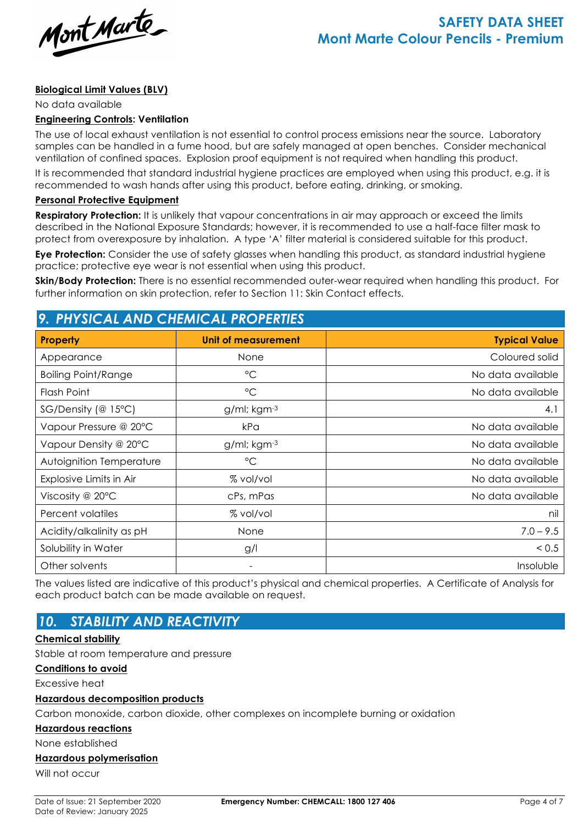Mont Marte

#### **Biological Limit Values (BLV)**

No data available

#### **Engineering Controls: Ventilation**

The use of local exhaust ventilation is not essential to control process emissions near the source. Laboratory samples can be handled in a fume hood, but are safely managed at open benches. Consider mechanical ventilation of confined spaces. Explosion proof equipment is not required when handling this product.

It is recommended that standard industrial hygiene practices are employed when using this product, e.g. it is recommended to wash hands after using this product, before eating, drinking, or smoking.

#### **Personal Protective Equipment**

**Respiratory Protection:** It is unlikely that vapour concentrations in air may approach or exceed the limits described in the National Exposure Standards; however, it is recommended to use a half-face filter mask to protect from overexposure by inhalation. A type 'A' filter material is considered suitable for this product.

**Eye Protection:** Consider the use of safety glasses when handling this product, as standard industrial hygiene practice; protective eye wear is not essential when using this product.

**Skin/Body Protection:** There is no essential recommended outer-wear required when handling this product. For further information on skin protection, refer to Section 11: Skin Contact effects.

## *9. PHYSICAL AND CHEMICAL PROPERTIES*

| <b>Property</b>            | Unit of measurement      | <b>Typical Value</b> |
|----------------------------|--------------------------|----------------------|
| Appearance                 | None                     | Coloured solid       |
| <b>Boiling Point/Range</b> | $^{\circ}C$              | No data available    |
| Flash Point                | $^{\circ}C$              | No data available    |
| $SG/Density$ (@ 15°C)      | $g/ml$ ; kgm $-3$        | 4.1                  |
| Vapour Pressure @ 20°C     | kPa                      | No data available    |
| Vapour Density @ 20°C      | $g$ /ml; kgm $-3$        | No data available    |
| Autoignition Temperature   | $^{\circ}C$              | No data available    |
| Explosive Limits in Air    | % vol/vol                | No data available    |
| Viscosity @ $20^{\circ}$ C | cPs, mPas                | No data available    |
| Percent volatiles          | % vol/vol                | nil                  |
| Acidity/alkalinity as pH   | None                     | $7.0 - 9.5$          |
| Solubility in Water        | g/l                      | < 0.5                |
| Other solvents             | $\overline{\phantom{a}}$ | Insoluble            |

The values listed are indicative of this product's physical and chemical properties. A Certificate of Analysis for each product batch can be made available on request.

# *10. STABILITY AND REACTIVITY*

#### **Chemical stability**

Stable at room temperature and pressure

#### **Conditions to avoid**

Excessive heat

#### **Hazardous decomposition products**

Carbon monoxide, carbon dioxide, other complexes on incomplete burning or oxidation

#### **Hazardous reactions**

None established

#### **Hazardous polymerisation**

Will not occur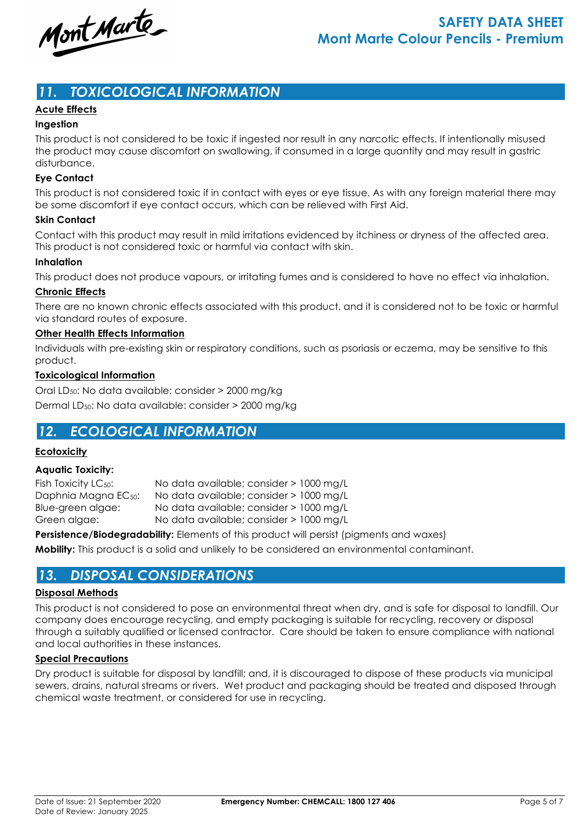Mont Marte

## *11. TOXICOLOGICAL INFORMATION*

### **Acute Effects**

#### **Ingestion**

This product is not considered to be toxic if ingested nor result in any narcotic effects. If intentionally misused the product may cause discomfort on swallowing, if consumed in a large quantity and may result in gastric disturbance.

#### **Eye Contact**

This product is not considered toxic if in contact with eyes or eye tissue. As with any foreign material there may be some discomfort if eye contact occurs, which can be relieved with First Aid.

#### **Skin Contact**

Contact with this product may result in mild irritations evidenced by itchiness or dryness of the affected area. This product is not considered toxic or harmful via contact with skin.

#### **Inhalation**

This product does not produce vapours, or irritating fumes and is considered to have no effect via inhalation.

#### **Chronic Effects**

There are no known chronic effects associated with this product, and it is considered not to be toxic or harmful via standard routes of exposure.

#### **Other Health Effects Information**

Individuals with pre-existing skin or respiratory conditions, such as psoriasis or eczema, may be sensitive to this product.

#### **Toxicological Information**

Oral LD50: No data available: consider > 2000 mg/kg Dermal LD50: No data available: consider > 2000 mg/kg

## *12. ECOLOGICAL INFORMATION*

#### **Ecotoxicity**

#### **Aquatic Toxicity:**

Fish Toxicity LC<sub>50</sub>: No data available; consider > 1000 mg/L Daphnia Magna EC<sub>50</sub>: No data available; consider > 1000 mg/L Blue-green algae: No data available; consider > 1000 mg/L Green algae: No data available; consider > 1000 mg/L

**Persistence/Biodegradability:** Elements of this product will persist (pigments and waxes)

**Mobility:** This product is a solid and unlikely to be considered an environmental contaminant.

## *13. DISPOSAL CONSIDERATIONS*

#### **Disposal Methods**

This product is not considered to pose an environmental threat when dry, and is safe for disposal to landfill. Our company does encourage recycling, and empty packaging is suitable for recycling, recovery or disposal through a suitably qualified or licensed contractor. Care should be taken to ensure compliance with national and local authorities in these instances.

#### **Special Precautions**

Dry product is suitable for disposal by landfill; and, it is discouraged to dispose of these products via municipal sewers, drains, natural streams or rivers. Wet product and packaging should be treated and disposed through chemical waste treatment, or considered for use in recycling.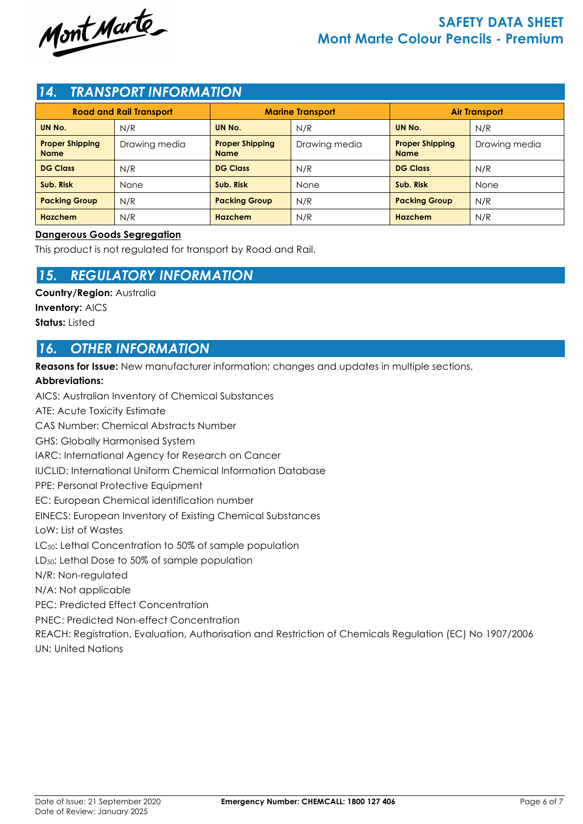

## *14. TRANSPORT INFORMATION*

| <b>Road and Rail Transport</b>        |               | <b>Marine Transport</b>               |               | <b>Air Transport</b>                  |               |
|---------------------------------------|---------------|---------------------------------------|---------------|---------------------------------------|---------------|
| UN No.                                | N/R           | UN No.                                | N/R           | UN No.                                | N/R           |
| <b>Proper Shipping</b><br><b>Name</b> | Drawing media | <b>Proper Shipping</b><br><b>Name</b> | Drawing media | <b>Proper Shipping</b><br><b>Name</b> | Drawing media |
| <b>DG Class</b>                       | N/R           | <b>DG Class</b>                       | N/R           | <b>DG Class</b>                       | N/R           |
| Sub. Risk                             | None          | Sub. Risk                             | None          | Sub. Risk                             | None          |
| <b>Packing Group</b>                  | N/R           | <b>Packing Group</b>                  | N/R           | <b>Packing Group</b>                  | N/R           |
| <b>Hazchem</b>                        | N/R           | Hazchem                               | N/R           | Hazchem                               | N/R           |

### **Dangerous Goods Segregation**

This product is not regulated for transport by Road and Rail.

## *15. REGULATORY INFORMATION*

**Country/Region:** Australia **Inventory:** AICS

**Status:** Listed

## *16. OTHER INFORMATION*

**Reasons for Issue:** New manufacturer information; changes and updates in multiple sections.

### **Abbreviations:**

AICS: Australian Inventory of Chemical Substances ATE: Acute Toxicity Estimate CAS Number: Chemical Abstracts Number GHS: Globally Harmonised System IARC: International Agency for Research on Cancer IUCLID: International Uniform Chemical Information Database PPE: Personal Protective Equipment EC: European Chemical identification number EINECS: European Inventory of Existing Chemical Substances LoW: List of Wastes LC<sub>50</sub>: Lethal Concentration to 50% of sample population LD50: Lethal Dose to 50% of sample population N/R: Non-regulated N/A: Not applicable PEC: Predicted Effect Concentration PNEC: Predicted Non-effect Concentration REACH: Registration, Evaluation, Authorisation and Restriction of Chemicals Regulation (EC) No 1907/2006 UN: United Nations